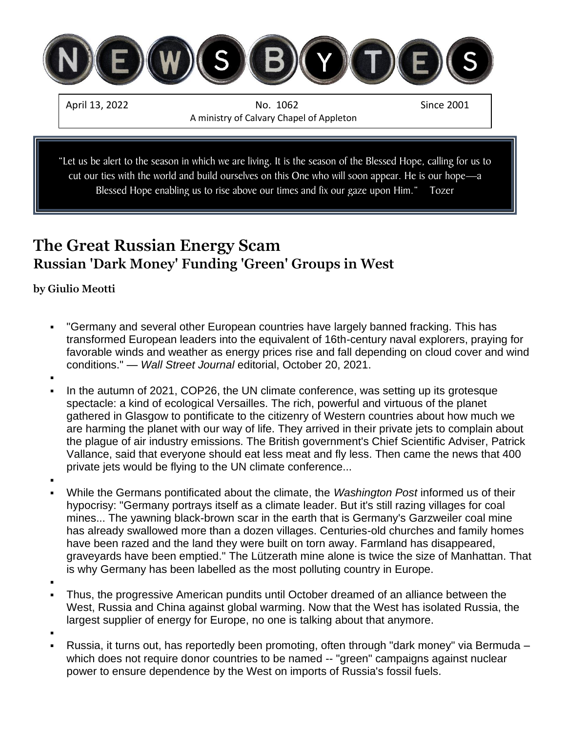

"Let us be alert to the season in which we are living. It is the season of the Blessed Hope, calling for us to cut our ties with the world and build ourselves on this One who will soon appear. He is our hope—a Blessed Hope enabling us to rise above our times and fix our gaze upon Him." Tozer

## **The Great Russian Energy Scam Russian 'Dark Money' Funding 'Green' Groups in West**

### **by [Giulio Meotti](https://www.gatestoneinstitute.org/author/Giulio+Meotti)**

- "Germany and several other European countries have largely banned fracking. This has transformed European leaders into the equivalent of 16th-century naval explorers, praying for favorable winds and weather as energy prices rise and fall depending on cloud cover and wind conditions." — *Wall Street Journal* editorial, October 20, 2021.
- ▪
- In the autumn of 2021, COP26, the UN climate conference, was setting up its grotesque spectacle: a kind of ecological Versailles. The rich, powerful and virtuous of the planet gathered in Glasgow to pontificate to the citizenry of Western countries about how much we are harming the planet with our way of life. They arrived in their private jets to complain about the plague of air industry emissions. The British government's Chief Scientific Adviser, Patrick Vallance, said that everyone should eat less meat and fly less. Then came the news that 400 private jets would be flying to the UN climate conference...
- ▪
- While the Germans pontificated about the climate, the *Washington Post* informed us of their hypocrisy: "Germany portrays itself as a climate leader. But it's still razing villages for coal mines... The yawning black-brown scar in the earth that is Germany's Garzweiler coal mine has already swallowed more than a dozen villages. Centuries-old churches and family homes have been razed and the land they were built on torn away. Farmland has disappeared, graveyards have been emptied." The Lützerath mine alone is twice the size of Manhattan. That is why Germany has been labelled as the most polluting country in Europe.
- ▪
- Thus, the progressive American pundits until October dreamed of an alliance between the West, Russia and China against global warming. Now that the West has isolated Russia, the largest supplier of energy for Europe, no one is talking about that anymore.

▪

Russia, it turns out, has reportedly been promoting, often through "dark money" via Bermuda – which does not require donor countries to be named -- "green" campaigns against nuclear power to ensure dependence by the West on imports of Russia's fossil fuels.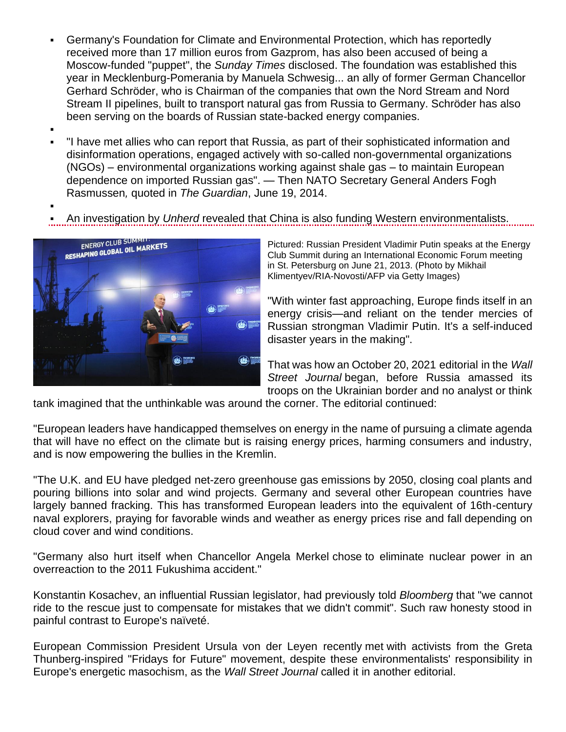- Germany's Foundation for Climate and Environmental Protection, which has reportedly received more than 17 million euros from Gazprom, has also been accused of being a Moscow-funded "puppet", the *Sunday Times* disclosed. The foundation was established this year in Mecklenburg-Pomerania by Manuela Schwesig... an ally of former German Chancellor Gerhard Schröder, who is Chairman of the companies that own the Nord Stream and Nord Stream II pipelines, built to transport natural gas from Russia to Germany. Schröder has also been serving on the boards of Russian state-backed energy companies.
- ▪

▪

- "I have met allies who can report that Russia, as part of their sophisticated information and disinformation operations, engaged actively with so-called non-governmental organizations (NGOs) – environmental organizations working against shale gas – to maintain European dependence on imported Russian gas". — Then NATO Secretary General Anders Fogh Rasmussen*,* quoted in *The Guardian*, June 19, 2014.
- An investigation by *Unherd* revealed that China is also funding Western environmentalists.



Pictured: Russian President Vladimir Putin speaks at the Energy Club Summit during an International Economic Forum meeting in St. Petersburg on June 21, 2013. (Photo by Mikhail Klimentyev/RIA-Novosti/AFP via Getty Images)

"With winter fast approaching, Europe finds itself in an energy crisis—and reliant on the tender mercies of Russian strongman Vladimir Putin. It's a self-induced disaster years in the making".

That was how an October 20, 2021 [editorial](https://www.wsj.com/articles/the-wests-energy-masochism-russia-vladimir-putin-europe-11634675580) in the *Wall Street Journal* began, before Russia amassed its troops on the Ukrainian border and no analyst or think

tank imagined that the unthinkable was around the corner. The editorial continued:

"European leaders have handicapped themselves on energy in the name of pursuing a climate agenda that will have no effect on the climate but is raising energy prices, harming consumers and industry, and is now empowering the bullies in the Kremlin.

"The U.K. and EU have pledged net-zero greenhouse gas emissions by 2050, closing coal plants and pouring billions into solar and wind projects. Germany and several other European countries have largely banned fracking. This has transformed European leaders into the equivalent of 16th-century naval explorers, praying for favorable winds and weather as energy prices rise and [fall](https://www.bloomberg.com/news/articles/2021-10-19/european-gas-prices-drop-on-windy-and-mild-weather-forecasts) depending on cloud cover and wind conditions.

"Germany also hurt itself when Chancellor Angela Merkel [chose](https://apnews.com/article/technology-europe-government-and-politics-environment-and-nature-nuclear-power-e465171848cb6e744920367dcc142658) to eliminate nuclear power in an overreaction to the 2011 Fukushima accident."

Konstantin Kosachev, an influential Russian legislator, had previously [told](https://www.bloomberg.com/news/articles/2021-10-19/russia-signals-europe-won-t-get-extra-gas-without-nord-stream-2) *Bloomberg* that "we cannot ride to the rescue just to compensate for mistakes that we didn't commit". Such raw honesty stood in painful contrast to Europe's naïveté.

European Commission President Ursula von der Leyen recently [met](https://www.gatestoneinstitute.org/18399/activists%20from%20the%20Greta%20Thunberg-inspired%20Fridays%20for%20Future%20movement) with activists from the Greta Thunberg-inspired "Fridays for Future" movement, despite these environmentalists' responsibility in Europe's energetic masochism, as the *Wall Street Journal* called it in [another editorial.](https://www.wsj.com/articles/a-lesson-in-energy-masochism-europe-natural-gas-russia-vladimir-putin-11646170129)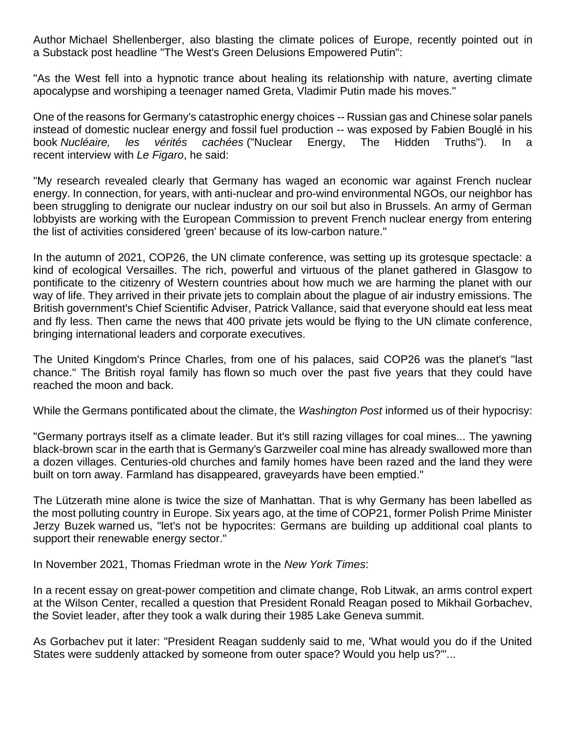Author [Michael Shellenberger,](https://www.foxnews.com/media/author-blasts-green-delusions-western-countries-empowered-putin-energy-advantage-europe) also blasting the climate polices of Europe, recently pointed out in a [Substack post](https://bariweiss.substack.com/p/the-wests-green-delusions-empowered?s=r) headline "The West's Green Delusions Empowered Putin":

"As the West fell into a hypnotic trance about healing its relationship with nature, averting climate apocalypse and worshiping a teenager named Greta, Vladimir Putin made his moves."

One of the reasons for Germany's catastrophic energy choices -- Russian gas and Chinese solar panels instead of domestic nuclear energy and fossil fuel production -- was exposed by Fabien Bouglé in his book *Nucléaire, les vérités cachées* ("Nuclear Energy, The Hidden Truths"). In a recent [interview](https://www.lefigaro.fr/vox/societe/crise-de-l-energie-le-livre-choc-qui-rehabilite-le-nucleaire-face-a-l-eolien-20211005) with *Le Figaro*, he said:

"My research revealed clearly that Germany has waged an economic war against French nuclear energy. In connection, for years, with anti-nuclear and pro-wind environmental NGOs, our neighbor has been struggling to denigrate our nuclear industry on our soil but also in Brussels. An army of German lobbyists are working with the European Commission to prevent French nuclear energy from entering the list of activities considered 'green' because of its low-carbon nature."

In the autumn of 2021, COP26, the UN climate conference, was setting up its grotesque spectacle: a kind of ecological Versailles. The rich, powerful and virtuous of the planet gathered in Glasgow to pontificate to the citizenry of Western countries about how much we are harming the planet with our way of life. They arrived in their private jets to complain about the plague of air industry emissions. The British government's Chief Scientific Adviser, [Patrick Vallance,](https://www.newscientist.com/article/2295076-eat-less-meat-and-fly-less-to-help-climate-says-patrick-vallance/) said that everyone should eat less meat and fly less. Then came the news that [400 private jets](https://www.dailyrecord.co.uk/news/scottish-news/private-jets-flying-cop26-blast-25338840) would be flying to the UN climate conference, bringing international leaders and corporate executives.

The United Kingdom's Prince Charles, from one of his palaces, said COP26 was the planet's "last chance." The British royal family has [flown](https://www.independent.co.uk/travel/news-and-advice/royal-family-flights-private-jet-b1827279.html) so much over the past five years that they could have reached the moon and back.

While the Germans pontificated about the climate, the *Washington Post* [informed](https://www.washingtonpost.com/world/2021/10/23/germany-coal-climate-cop26/) us of their hypocrisy:

"Germany portrays itself as a climate leader. But it's still razing villages for coal mines... The yawning black-brown scar in the earth that is Germany's Garzweiler coal mine has already swallowed more than a dozen villages. Centuries-old churches and family homes have been razed and the land they were built on torn away. Farmland has disappeared, graveyards have been emptied."

The Lützerath mine alone is twice the size of Manhattan. That is why Germany has been labelled as the [most polluting country](https://www.marketplace.org/2021/09/15/can-germany-europes-biggest-carbon-polluter-clean-up-its-act/) in Europe. Six years ago, at the time of COP21, former Polish Prime Minister Jerzy Buzek [warned](https://www.euractiv.com/section/climate-environment/interview/jerzy-buzek-let-s-not-be-hypocrites-about-coal/) us, "let's not be hypocrites: Germans are building up additional coal plants to support their renewable energy sector."

In November 2021, Thomas Friedman [wrote](https://www.nytimes.com/2021/11/01/opinion/climate-glasgow-russia-china.html) in the *New York Times*:

In a recent [essay](https://diplomacy21-adelphi.wilsoncenter.org/article/geostrategic-competition-and-climate-change-avoiding-unmanageable) on great-power competition and climate change, Rob Litwak, an arms control expert at the Wilson Center, recalled a question that President Ronald Reagan posed to Mikhail Gorbachev, the Soviet leader, after they took a walk during their 1985 Lake Geneva summit.

As Gorbachev [put it](https://charlierose.com/videos/12958) later: "President Reagan suddenly said to me, 'What would you do if the United States were suddenly attacked by someone from outer space? Would you help us?'"...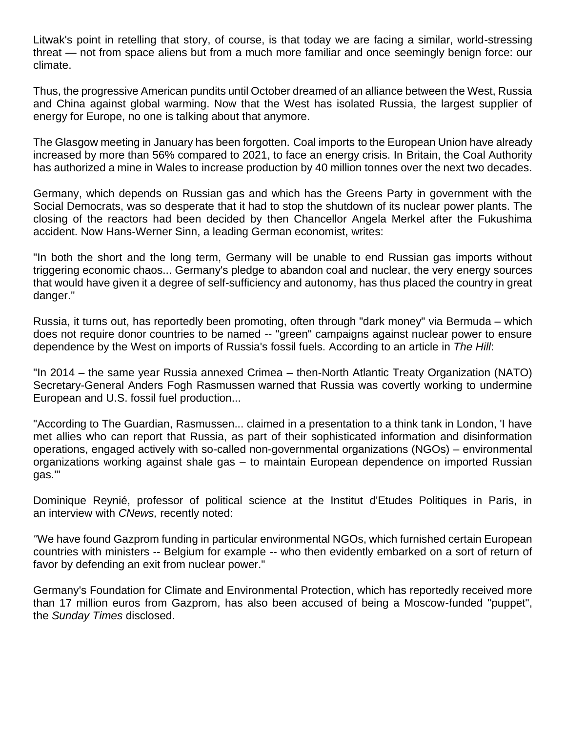Litwak's point in retelling that story, of course, is that today we are facing a similar, world-stressing threat — not from space aliens but from a much more familiar and once seemingly benign force: our climate.

Thus, the progressive American pundits until October dreamed of an alliance between the West, Russia and China against global warming. Now that the West has isolated Russia, the largest supplier of energy for Europe, no one is talking about that anymore.

The Glasgow meeting in January has been forgotten. [Coal imports](https://www.reuters.com/business/energy/russian-gas-crisis-stokes-europes-appetite-russian-coal-2022-02-03/) to the European Union have already increased by more than 56% compared to 2021, to face an energy crisis. In [Britain,](https://www.walesonline.co.uk/news/wales-news/aberpergwm-colliery-given-go-ahead-22900709) the Coal Authority has authorized a mine in Wales to increase production by 40 million tonnes over the next two decades.

Germany, which depends on Russian gas and which has the Greens Party in government with the Social Democrats, was so desperate that it had to stop the shutdown of its nuclear power plants. The closing of the reactors had been decided by then Chancellor Angela Merkel after the Fukushima accident. Now Hans-Werner Sinn, a leading German economist, [writes:](https://www.project-syndicate.org/commentary/germany-energy-shambles-dependence-on-russian-gas-by-hans-werner-sinn-2022-03)

"In both the short and the long term, Germany will be unable to end Russian gas imports without triggering economic chaos... Germany's pledge to abandon coal and nuclear, the very energy sources that would have given it a degree of self-sufficiency and autonomy, has thus placed the country in great danger."

Russia, it turns out, has [reportedly](https://thehill.com/opinion/energy-environment/596304-investigate-russias-covert-funding-of-us-anti-fossil-fuel-groups/) been promoting, often through ["dark money" via Bermuda](https://www.scribd.com/document/353439133/Smith-Weber-Letter-to-Mnuchin-re-Russia-and-Green-Groups) – which does not require donor countries to be named -- "green" campaigns against nuclear power to ensure dependence by the West on imports of Russia's fossil fuels. [According](https://thehill.com/opinion/energy-environment/596304-investigate-russias-covert-funding-of-us-anti-fossil-fuel-groups/) to an article in *The Hill*:

"In 2014 – the same year Russia annexed Crimea – then-North Atlantic Treaty Organization (NATO) Secretary-General Anders Fogh Rasmussen [warned](https://www.theguardian.com/environment/2014/jun/19/russia-secretly-working-with-environmentalists-to-oppose-fracking) that Russia was covertly working to undermine European and U.S. fossil fuel production...

["According to The Guardian,](https://www.theguardian.com/environment/2014/jun/19/russia-secretly-working-with-environmentalists-to-oppose-fracking) Rasmussen... claimed in a presentation to a think tank in London, 'I have met allies who can report that Russia, as part of their sophisticated information and disinformation operations, engaged actively with so-called non-governmental organizations (NGOs) – environmental organizations working against shale gas – to maintain European dependence on imported Russian gas.'"

Dominique Reynié, professor of political science at the Institut d'Etudes Politiques in Paris, in an [interview](https://twitter.com/JL7508/status/1497653212526096393) with *CNews,* recently noted:

*"*We have found Gazprom funding in particular environmental NGOs, which furnished certain European countries with ministers -- Belgium for example -- who then evidently embarked on a sort of return of favor by defending an exit from nuclear power."

Germany's Foundation for Climate and Environmental Protection, which has reportedly received more than 17 million euros from Gazprom, has also been accused of being a Moscow-funded "puppet", the *Sunday Times* [disclosed.](https://www.thetimes.co.uk/article/german-green-group-branded-a-russian-puppet-over-nord-stream-ii-gas-pipeline-nzd9p056q)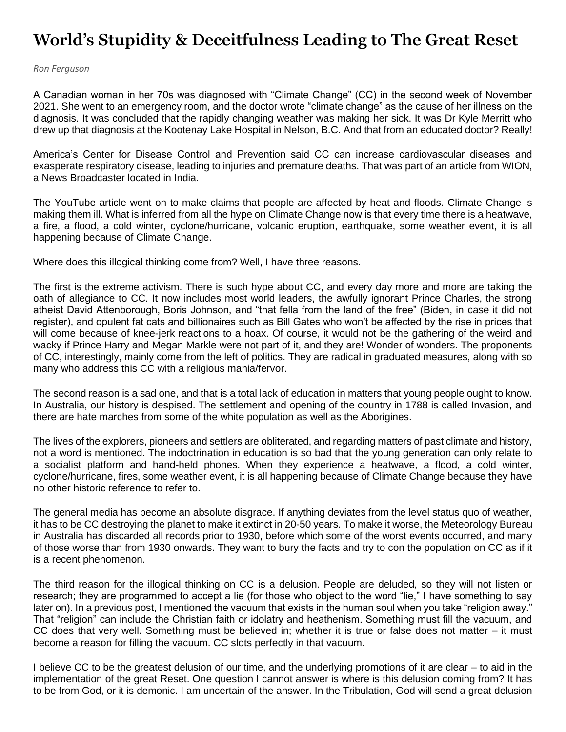# **World's Stupidity & Deceitfulness Leading to The Great Reset**

#### *Ron Ferguson*

A Canadian woman in her 70s was diagnosed with "Climate Change" (CC) in the second week of November 2021. She went to an emergency room, and the doctor wrote "climate change" as the cause of her illness on the diagnosis. It was concluded that the rapidly changing weather was making her sick. It was Dr Kyle Merritt who drew up that diagnosis at the Kootenay Lake Hospital in Nelson, B.C. And that from an educated doctor? Really!

America's Center for Disease Control and Prevention said CC can increase cardiovascular diseases and exasperate respiratory disease, leading to injuries and premature deaths. That was part of an article from WION, a News Broadcaster located in India.

The YouTube article went on to make claims that people are affected by heat and floods. Climate Change is making them ill. What is inferred from all the hype on Climate Change now is that every time there is a heatwave, a fire, a flood, a cold winter, cyclone/hurricane, volcanic eruption, earthquake, some weather event, it is all happening because of Climate Change.

Where does this illogical thinking come from? Well, I have three reasons.

The first is the extreme activism. There is such hype about CC, and every day more and more are taking the oath of allegiance to CC. It now includes most world leaders, the awfully ignorant Prince Charles, the strong atheist David Attenborough, Boris Johnson, and "that fella from the land of the free" (Biden, in case it did not register), and opulent fat cats and billionaires such as Bill Gates who won't be affected by the rise in prices that will come because of knee-jerk reactions to a hoax. Of course, it would not be the gathering of the weird and wacky if Prince Harry and Megan Markle were not part of it, and they are! Wonder of wonders. The proponents of CC, interestingly, mainly come from the left of politics. They are radical in graduated measures, along with so many who address this CC with a religious mania/fervor.

The second reason is a sad one, and that is a total lack of education in matters that young people ought to know. In Australia, our history is despised. The settlement and opening of the country in 1788 is called Invasion, and there are hate marches from some of the white population as well as the Aborigines.

The lives of the explorers, pioneers and settlers are obliterated, and regarding matters of past climate and history, not a word is mentioned. The indoctrination in education is so bad that the young generation can only relate to a socialist platform and hand-held phones. When they experience a heatwave, a flood, a cold winter, cyclone/hurricane, fires, some weather event, it is all happening because of Climate Change because they have no other historic reference to refer to.

The general media has become an absolute disgrace. If anything deviates from the level status quo of weather, it has to be CC destroying the planet to make it extinct in 20-50 years. To make it worse, the Meteorology Bureau in Australia has discarded all records prior to 1930, before which some of the worst events occurred, and many of those worse than from 1930 onwards. They want to bury the facts and try to con the population on CC as if it is a recent phenomenon.

The third reason for the illogical thinking on CC is a delusion. People are deluded, so they will not listen or research; they are programmed to accept a lie (for those who object to the word "lie," I have something to say later on). In a previous post, I mentioned the vacuum that exists in the human soul when you take "religion away." That "religion" can include the Christian faith or idolatry and heathenism. Something must fill the vacuum, and CC does that very well. Something must be believed in; whether it is true or false does not matter – it must become a reason for filling the vacuum. CC slots perfectly in that vacuum.

I believe CC to be the greatest delusion of our time, and the underlying promotions of it are clear – to aid in the implementation of the great Reset. One question I cannot answer is where is this delusion coming from? It has to be from God, or it is demonic. I am uncertain of the answer. In the Tribulation, God will send a great delusion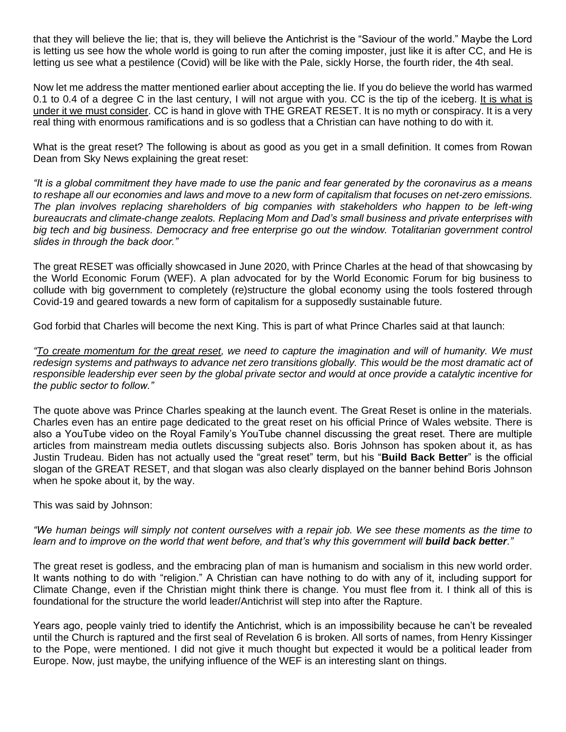that they will believe the lie; that is, they will believe the Antichrist is the "Saviour of the world." Maybe the Lord is letting us see how the whole world is going to run after the coming imposter, just like it is after CC, and He is letting us see what a pestilence (Covid) will be like with the Pale, sickly Horse, the fourth rider, the 4th seal.

Now let me address the matter mentioned earlier about accepting the lie. If you do believe the world has warmed 0.1 to 0.4 of a degree C in the last century, I will not argue with you. CC is the tip of the iceberg. It is what is under it we must consider. CC is hand in glove with THE GREAT RESET. It is no myth or conspiracy. It is a very real thing with enormous ramifications and is so godless that a Christian can have nothing to do with it.

What is the great reset? The following is about as good as you get in a small definition. It comes from Rowan Dean from Sky News explaining the great reset:

*"It is a global commitment they have made to use the panic and fear generated by the coronavirus as a means to reshape all our economies and laws and move to a new form of capitalism that focuses on net-zero emissions. The plan involves replacing shareholders of big companies with stakeholders who happen to be left-wing bureaucrats and climate-change zealots. Replacing Mom and Dad's small business and private enterprises with big tech and big business. Democracy and free enterprise go out the window. Totalitarian government control slides in through the back door."*

The great RESET was officially showcased in June 2020, with Prince Charles at the head of that showcasing by the World Economic Forum (WEF). A plan advocated for by the World Economic Forum for big business to collude with big government to completely (re)structure the global economy using the tools fostered through Covid-19 and geared towards a new form of capitalism for a supposedly sustainable future.

God forbid that Charles will become the next King. This is part of what Prince Charles said at that launch:

*"To create momentum for the great reset, we need to capture the imagination and will of humanity. We must*  redesign systems and pathways to advance net zero transitions globally. This would be the most dramatic act of *responsible leadership ever seen by the global private sector and would at once provide a catalytic incentive for the public sector to follow."*

The quote above was Prince Charles speaking at the launch event. The Great Reset is online in the materials. Charles even has an entire page dedicated to the great reset on his official Prince of Wales website. There is also a YouTube video on the Royal Family's YouTube channel discussing the great reset. There are multiple articles from mainstream media outlets discussing subjects also. Boris Johnson has spoken about it, as has Justin Trudeau. Biden has not actually used the "great reset" term, but his "**Build Back Better**" is the official slogan of the GREAT RESET, and that slogan was also clearly displayed on the banner behind Boris Johnson when he spoke about it, by the way.

This was said by Johnson:

*"We human beings will simply not content ourselves with a repair job. We see these moments as the time to*  learn and to improve on the world that went before, and that's why this government will **build back better**."

The great reset is godless, and the embracing plan of man is humanism and socialism in this new world order. It wants nothing to do with "religion." A Christian can have nothing to do with any of it, including support for Climate Change, even if the Christian might think there is change. You must flee from it. I think all of this is foundational for the structure the world leader/Antichrist will step into after the Rapture.

Years ago, people vainly tried to identify the Antichrist, which is an impossibility because he can't be revealed until the Church is raptured and the first seal of Revelation 6 is broken. All sorts of names, from Henry Kissinger to the Pope, were mentioned. I did not give it much thought but expected it would be a political leader from Europe. Now, just maybe, the unifying influence of the WEF is an interesting slant on things.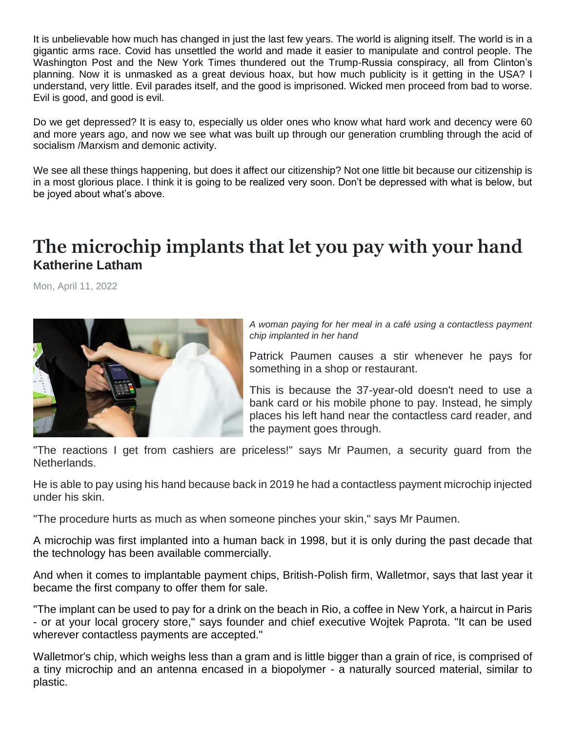It is unbelievable how much has changed in just the last few years. The world is aligning itself. The world is in a gigantic arms race. Covid has unsettled the world and made it easier to manipulate and control people. The Washington Post and the New York Times thundered out the Trump-Russia conspiracy, all from Clinton's planning. Now it is unmasked as a great devious hoax, but how much publicity is it getting in the USA? I understand, very little. Evil parades itself, and the good is imprisoned. Wicked men proceed from bad to worse. Evil is good, and good is evil.

Do we get depressed? It is easy to, especially us older ones who know what hard work and decency were 60 and more years ago, and now we see what was built up through our generation crumbling through the acid of socialism /Marxism and demonic activity.

We see all these things happening, but does it affect our citizenship? Not one little bit because our citizenship is in a most glorious place. I think it is going to be realized very soon. Don't be depressed with what is below, but be joyed about what's above.

# **The microchip implants that let you pay with your hand Katherine Latham**

Mon, April 11, 2022



*A woman paying for her meal in a café using a contactless payment chip implanted in her hand*

Patrick Paumen causes a stir whenever he pays for something in a shop or restaurant.

This is because the 37-year-old doesn't need to use a bank card or his mobile phone to pay. Instead, he simply places his left hand near the contactless card reader, and the payment goes through.

"The reactions I get from cashiers are priceless!" says Mr Paumen, a security guard from the Netherlands.

He is able to pay using his hand because back in 2019 he had a contactless payment microchip injected under his skin.

"The procedure hurts as much as when someone pinches your skin," says Mr Paumen.

A microchip [was first implanted into a human back in 1998,](http://edition.cnn.com/TECH/computing/9901/14/chipman.idg/) but it is only during the past decade that the technology has been available commercially.

And when it comes to implantable payment chips, British-Polish firm, Walletmor, says that last year it became the first company to offer them for sale.

"The implant can be used to pay for a drink on the beach in Rio, a coffee in New York, a haircut in Paris - or at your local grocery store," says founder and chief executive Wojtek Paprota. "It can be used wherever contactless payments are accepted."

Walletmor's chip, which weighs less than a gram and is little bigger than a grain of rice, is comprised of a tiny microchip and an antenna encased in a biopolymer - a naturally sourced material, similar to plastic.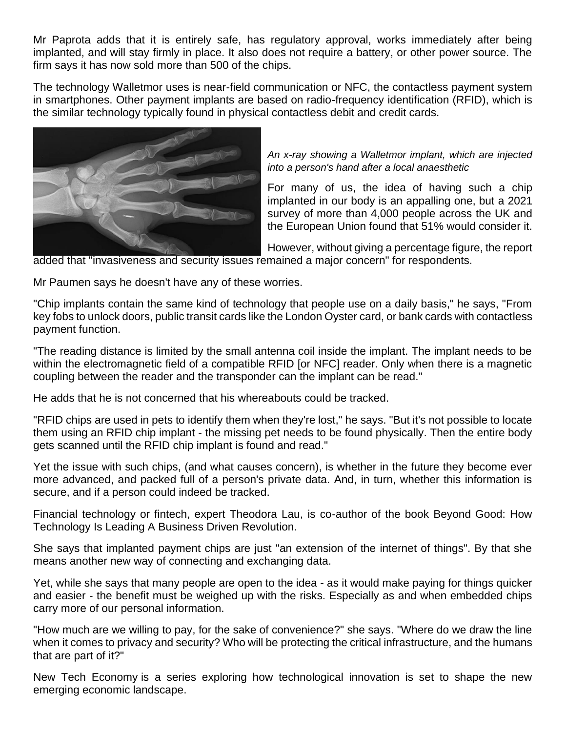Mr Paprota adds that it is entirely safe, has regulatory approval, works immediately after being implanted, and will stay firmly in place. It also does not require a battery, or other power source. The firm says it has now sold more than 500 of the chips.

The technology Walletmor uses is near-field communication or NFC, the contactless payment system in smartphones. Other payment implants are based on radio-frequency identification (RFID), which is the similar technology typically found in physical contactless debit and credit cards.



*An x-ray showing a Walletmor implant, which are injected into a person's hand after a local anaesthetic*

For many of us, the idea of having such a chip implanted in our body is an appalling one, [but a 2021](https://resources.marqeta.com/c/report-european-payments-landscape?x=hj28Ub&submissionGuid=95961be5-2b0b-4858-9459-d312087827a0)  [survey of more than 4,000 people across](https://resources.marqeta.com/c/report-european-payments-landscape?x=hj28Ub&submissionGuid=95961be5-2b0b-4858-9459-d312087827a0) the UK and [the European Union found that 51% would consider it.](https://resources.marqeta.com/c/report-european-payments-landscape?x=hj28Ub&submissionGuid=95961be5-2b0b-4858-9459-d312087827a0)

However, without giving a percentage figure, the report added that "invasiveness and security issues remained a major concern" for respondents.

Mr Paumen says he doesn't have any of these worries.

"Chip implants contain the same kind of technology that people use on a daily basis," he says, "From key fobs to unlock doors, public transit cards like the London Oyster card, or bank cards with contactless payment function.

"The reading distance is limited by the small antenna coil inside the implant. The implant needs to be within the electromagnetic field of a compatible RFID [or NFC] reader. Only when there is a magnetic coupling between the reader and the transponder can the implant can be read."

He adds that he is not concerned that his whereabouts could be tracked.

"RFID chips are used in pets to identify them when they're lost," he says. "But it's not possible to locate them using an RFID chip implant - the missing pet needs to be found physically. Then the entire body gets scanned until the RFID chip implant is found and read."

Yet the issue with such chips, (and what causes concern), is whether in the future they become ever more advanced, and packed full of a person's private data. And, in turn, whether this information is secure, and if a person could indeed be tracked.

Financial technology or fintech, expert Theodora Lau, is co-author of the book Beyond Good: How Technology Is Leading A Business Driven Revolution.

She says that implanted payment chips are just "an extension of the internet of things". By that she means another new way of connecting and exchanging data.

Yet, while she says that many people are open to the idea - as it would make paying for things quicker and easier - the benefit must be weighed up with the risks. Especially as and when embedded chips carry more of our personal information.

"How much are we willing to pay, for the sake of convenience?" she says. "Where do we draw the line when it comes to privacy and security? Who will be protecting the critical infrastructure, and the humans that are part of it?"

[New Tech Economy](https://www.bbc.co.uk/news/business-15521824?xtor=AL-72-%5Bpartner%5D-%5Byahoo.north.america%5D-%5Blink%5D-%5Bnews%5D-%5Bbizdev%5D-%5Bisapi%5D) is a series exploring how technological innovation is set to shape the new emerging economic landscape.